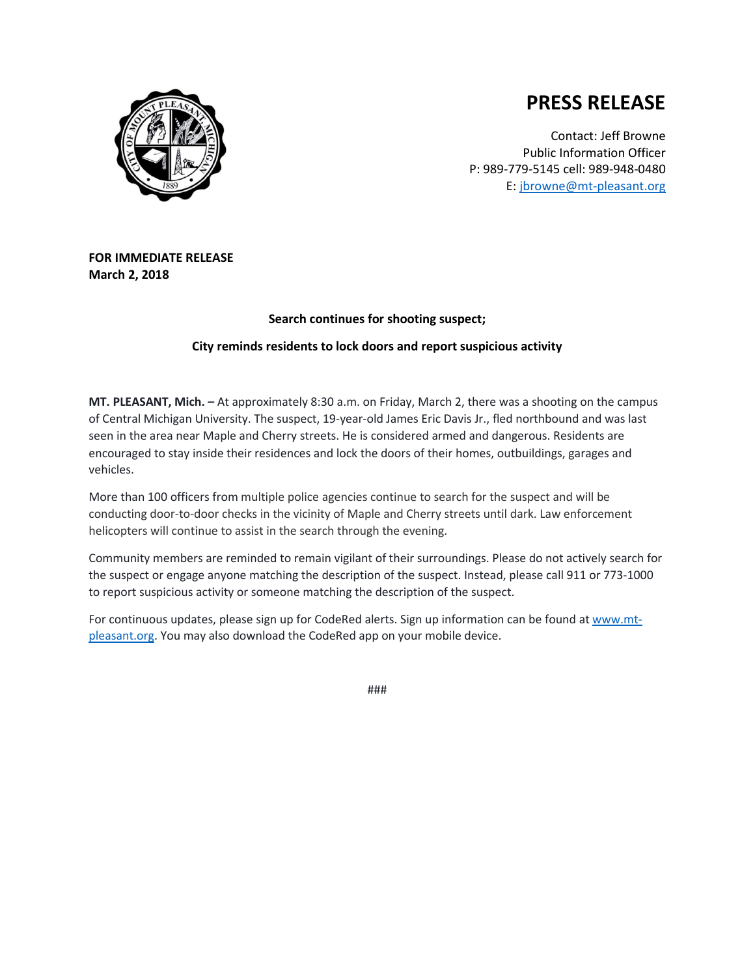



Contact: Jeff Browne Public Information Officer P: 989-779-5145 cell: 989-948-0480 E: [jbrowne@mt-pleasant.org](mailto:jbrowne@mt-pleasant.org)

## **FOR IMMEDIATE RELEASE March 2, 2018**

## **Search continues for shooting suspect;**

## **City reminds residents to lock doors and report suspicious activity**

**MT. PLEASANT, Mich. –** At approximately 8:30 a.m. on Friday, March 2, there was a shooting on the campus of Central Michigan University. The suspect, 19-year-old James Eric Davis Jr., fled northbound and was last seen in the area near Maple and Cherry streets. He is considered armed and dangerous. Residents are encouraged to stay inside their residences and lock the doors of their homes, outbuildings, garages and vehicles.

More than 100 officers from multiple police agencies continue to search for the suspect and will be conducting door-to-door checks in the vicinity of Maple and Cherry streets until dark. Law enforcement helicopters will continue to assist in the search through the evening.

Community members are reminded to remain vigilant of their surroundings. Please do not actively search for the suspect or engage anyone matching the description of the suspect. Instead, please call 911 or 773-1000 to report suspicious activity or someone matching the description of the suspect.

For continuous updates, please sign up for CodeRed alerts. Sign up information can be found a[t www.mt](http://www.mt-pleasant.org/)[pleasant.org.](http://www.mt-pleasant.org/) You may also download the CodeRed app on your mobile device.

###